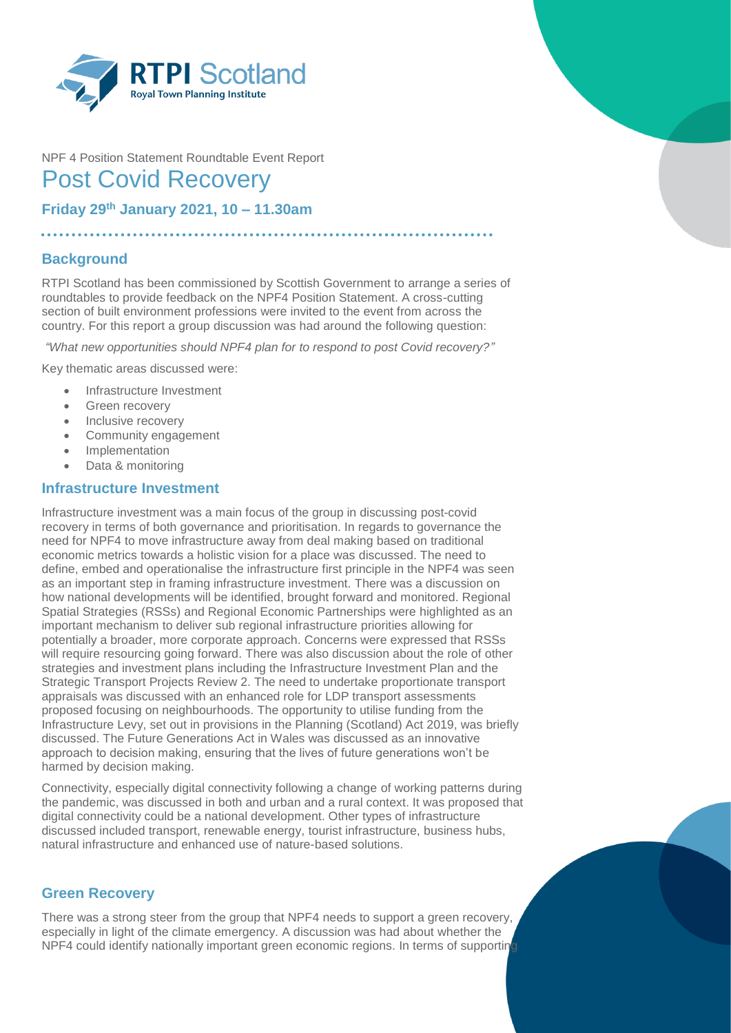

# NPF 4 Position Statement Roundtable Event Report Post Covid Recovery

**Friday 29th January 2021, 10 – 11.30am**

. . . . . . . . . . . . . . . .

# **Background**

RTPI Scotland has been commissioned by Scottish Government to arrange a series of roundtables to provide feedback on the NPF4 Position Statement. A cross-cutting section of built environment professions were invited to the event from across the country. For this report a group discussion was had around the following question:

*"What new opportunities should NPF4 plan for to respond to post Covid recovery?"*

Key thematic areas discussed were:

- Infrastructure Investment
- Green recovery
- Inclusive recovery
- Community engagement
- Implementation
- Data & monitoring

#### **Infrastructure Investment**

Infrastructure investment was a main focus of the group in discussing post-covid recovery in terms of both governance and prioritisation. In regards to governance the need for NPF4 to move infrastructure away from deal making based on traditional economic metrics towards a holistic vision for a place was discussed. The need to define, embed and operationalise the infrastructure first principle in the NPF4 was seen as an important step in framing infrastructure investment. There was a discussion on how national developments will be identified, brought forward and monitored. Regional Spatial Strategies (RSSs) and Regional Economic Partnerships were highlighted as an important mechanism to deliver sub regional infrastructure priorities allowing for potentially a broader, more corporate approach. Concerns were expressed that RSSs will require resourcing going forward. There was also discussion about the role of other strategies and investment plans including the Infrastructure Investment Plan and the Strategic Transport Projects Review 2. The need to undertake proportionate transport appraisals was discussed with an enhanced role for LDP transport assessments proposed focusing on neighbourhoods. The opportunity to utilise funding from the Infrastructure Levy, set out in provisions in the Planning (Scotland) Act 2019, was briefly discussed. The Future Generations Act in Wales was discussed as an innovative approach to decision making, ensuring that the lives of future generations won't be harmed by decision making.

Connectivity, especially digital connectivity following a change of working patterns during the pandemic, was discussed in both and urban and a rural context. It was proposed that digital connectivity could be a national development. Other types of infrastructure discussed included transport, renewable energy, tourist infrastructure, business hubs, natural infrastructure and enhanced use of nature-based solutions.

## **Green Recovery**

There was a strong steer from the group that NPF4 needs to support a green recovery, especially in light of the climate emergency. A discussion was had about whether the NPF4 could identify nationally important green economic regions. In terms of supporting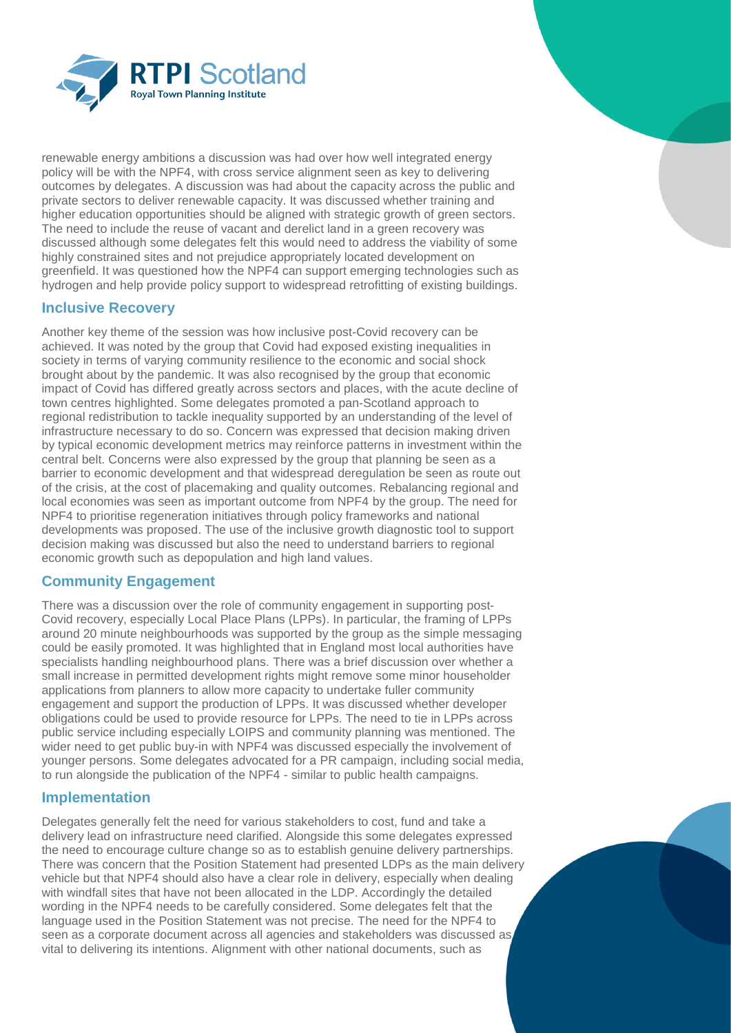

renewable energy ambitions a discussion was had over how well integrated energy policy will be with the NPF4, with cross service alignment seen as key to delivering outcomes by delegates. A discussion was had about the capacity across the public and private sectors to deliver renewable capacity. It was discussed whether training and higher education opportunities should be aligned with strategic growth of green sectors. The need to include the reuse of vacant and derelict land in a green recovery was discussed although some delegates felt this would need to address the viability of some highly constrained sites and not prejudice appropriately located development on greenfield. It was questioned how the NPF4 can support emerging technologies such as hydrogen and help provide policy support to widespread retrofitting of existing buildings.

#### **Inclusive Recovery**

Another key theme of the session was how inclusive post-Covid recovery can be achieved. It was noted by the group that Covid had exposed existing inequalities in society in terms of varying community resilience to the economic and social shock brought about by the pandemic. It was also recognised by the group that economic impact of Covid has differed greatly across sectors and places, with the acute decline of town centres highlighted. Some delegates promoted a pan-Scotland approach to regional redistribution to tackle inequality supported by an understanding of the level of infrastructure necessary to do so. Concern was expressed that decision making driven by typical economic development metrics may reinforce patterns in investment within the central belt. Concerns were also expressed by the group that planning be seen as a barrier to economic development and that widespread deregulation be seen as route out of the crisis, at the cost of placemaking and quality outcomes. Rebalancing regional and local economies was seen as important outcome from NPF4 by the group. The need for NPF4 to prioritise regeneration initiatives through policy frameworks and national developments was proposed. The use of the inclusive growth diagnostic tool to support decision making was discussed but also the need to understand barriers to regional economic growth such as depopulation and high land values.

## **Community Engagement**

There was a discussion over the role of community engagement in supporting post-Covid recovery, especially Local Place Plans (LPPs). In particular, the framing of LPPs around 20 minute neighbourhoods was supported by the group as the simple messaging could be easily promoted. It was highlighted that in England most local authorities have specialists handling neighbourhood plans. There was a brief discussion over whether a small increase in permitted development rights might remove some minor householder applications from planners to allow more capacity to undertake fuller community engagement and support the production of LPPs. It was discussed whether developer obligations could be used to provide resource for LPPs. The need to tie in LPPs across public service including especially LOIPS and community planning was mentioned. The wider need to get public buy-in with NPF4 was discussed especially the involvement of younger persons. Some delegates advocated for a PR campaign, including social media, to run alongside the publication of the NPF4 - similar to public health campaigns.

## **Implementation**

Delegates generally felt the need for various stakeholders to cost, fund and take a delivery lead on infrastructure need clarified. Alongside this some delegates expressed the need to encourage culture change so as to establish genuine delivery partnerships. There was concern that the Position Statement had presented LDPs as the main delivery vehicle but that NPF4 should also have a clear role in delivery, especially when dealing with windfall sites that have not been allocated in the LDP. Accordingly the detailed wording in the NPF4 needs to be carefully considered. Some delegates felt that the language used in the Position Statement was not precise. The need for the NPF4 to seen as a corporate document across all agencies and stakeholders was discussed as vital to delivering its intentions. Alignment with other national documents, such as